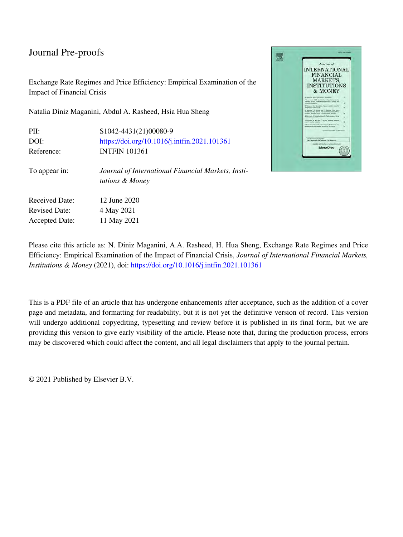Exchange Rate Regimes and Price Efficiency: Empirical Examination of the Impact of Financial Crisis

Natalia Diniz Maganini, Abdul A. Rasheed, Hsia Hua Sheng

| PII:                                          | \$1042-4431(21)00080-9                                                |
|-----------------------------------------------|-----------------------------------------------------------------------|
| DOI:                                          | https://doi.org/10.1016/j.intfin.2021.101361                          |
| Reference:                                    | <b>INTFIN 101361</b>                                                  |
| To appear in:                                 | Journal of International Financial Markets, Insti-<br>tutions & Money |
| <b>Received Date:</b><br><b>Revised Date:</b> | 12 June 2020<br>4 May 2021                                            |
|                                               |                                                                       |
| <b>Accepted Date:</b>                         | 11 May 2021                                                           |



Please cite this article as: N. Diniz Maganini, A.A. Rasheed, H. Hua Sheng, Exchange Rate Regimes and Price Efficiency: Empirical Examination of the Impact of Financial Crisis, *Journal of International Financial Markets, Institutions & Money* (2021), doi:<https://doi.org/10.1016/j.intfin.2021.101361>

This is a PDF file of an article that has undergone enhancements after acceptance, such as the addition of a cover page and metadata, and formatting for readability, but it is not yet the definitive version of record. This version will undergo additional copyediting, typesetting and review before it is published in its final form, but we are providing this version to give early visibility of the article. Please note that, during the production process, errors may be discovered which could affect the content, and all legal disclaimers that apply to the journal pertain.

© 2021 Published by Elsevier B.V.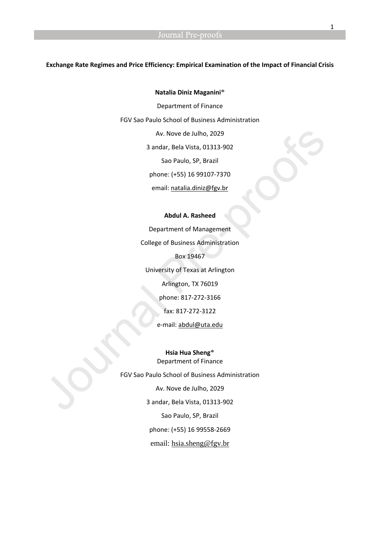#### **Exchange Rate Regimes and Price Efficiency: Empirical Examination of the Impact of Financial Crisis**

#### **Natalia Diniz Maganini**\*

Department of Finance FGV Sao Paulo School of Business Administration Av. Nove de Julho, 2029 3 andar, Bela Vista, 01313-902 Sao Paulo, SP, Brazil phone: (+55) 16 99107-7370 email: [natalia.diniz@fgv.br](mailto:natalia.diniz@fgv.br) 

#### **Abdul A. Rasheed**

Department of Management College of Business Administration Box 19467 University of Texas at Arlington Arlington, TX 76019 phone: 817-272-3166 fax: 817-272-3122 e-mail: [abdul@uta.edu](mailto:abdul@uta.edu)

**Hsia Hua Sheng**\* Department of Finance FGV Sao Paulo School of Business Administration Av. Nove de Julho, 2029 3 andar, Bela Vista, 01313-902 Sao Paulo, SP, Brazil phone: (+55) 16 99558-2669 email: [hsia.sheng@fgv.br](mailto:hsia.sheng@fgv.br)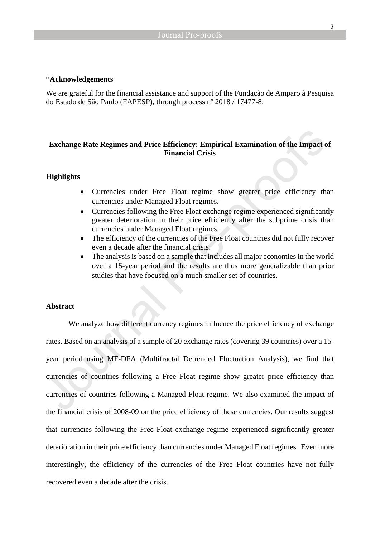#### \***Acknowledgements**

We are grateful for the financial assistance and support of the Fundação de Amparo à Pesquisa do Estado de São Paulo (FAPESP), through process nº 2018 / 17477-8.

### **Exchange Rate Regimes and Price Efficiency: Empirical Examination of the Impact of Financial Crisis**

#### **Highlights**

- Currencies under Free Float regime show greater price efficiency than currencies under Managed Float regimes.
- Currencies following the Free Float exchange regime experienced significantly greater deterioration in their price efficiency after the subprime crisis than currencies under Managed Float regimes.
- The efficiency of the currencies of the Free Float countries did not fully recover even a decade after the financial crisis.
- The analysis is based on a sample that includes all major economies in the world over a 15-year period and the results are thus more generalizable than prior studies that have focused on a much smaller set of countries.

#### **Abstract**

We analyze how different currency regimes influence the price efficiency of exchange rates. Based on an analysis of a sample of 20 exchange rates (covering 39 countries) over a 15 year period using MF-DFA (Multifractal Detrended Fluctuation Analysis), we find that currencies of countries following a Free Float regime show greater price efficiency than currencies of countries following a Managed Float regime. We also examined the impact of the financial crisis of 2008-09 on the price efficiency of these currencies. Our results suggest that currencies following the Free Float exchange regime experienced significantly greater deterioration in their price efficiency than currencies under Managed Float regimes. Even more interestingly, the efficiency of the currencies of the Free Float countries have not fully recovered even a decade after the crisis.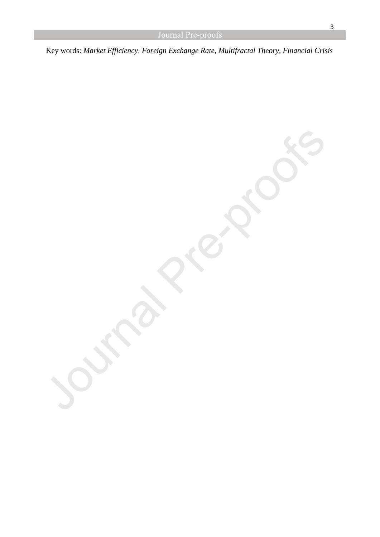Key words: *Market Efficiency, Foreign Exchange Rate, Multifractal Theory, Financial Crisis*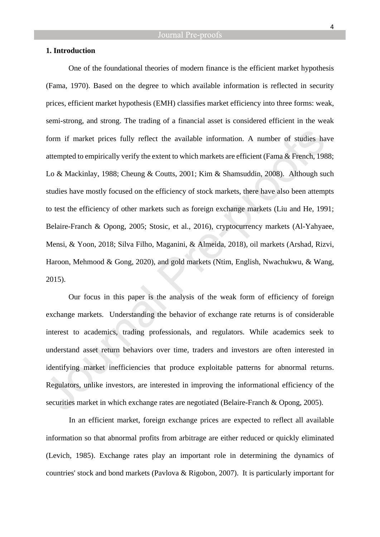#### **1. Introduction**

One of the foundational theories of modern finance is the efficient market hypothesis (Fama, 1970). Based on the degree to which available information is reflected in security prices, efficient market hypothesis (EMH) classifies market efficiency into three forms: weak, semi-strong, and strong. The trading of a financial asset is considered efficient in the weak form if market prices fully reflect the available information. A number of studies have attempted to empirically verify the extent to which markets are efficient (Fama & French, 1988; Lo & Mackinlay, 1988; Cheung & Coutts, 2001; Kim & Shamsuddin, 2008). Although such studies have mostly focused on the efficiency of stock markets, there have also been attempts to test the efficiency of other markets such as foreign exchange markets (Liu and He, 1991; Belaire-Franch & Opong, 2005; Stosic, et al., 2016), cryptocurrency markets (Al-Yahyaee, Mensi, & Yoon, 2018; Silva Filho, Maganini, & Almeida, 2018), oil markets (Arshad, Rizvi, Haroon, Mehmood & Gong, 2020), and gold markets (Ntim, English, Nwachukwu, & Wang, 2015).

Our focus in this paper is the analysis of the weak form of efficiency of foreign exchange markets. Understanding the behavior of exchange rate returns is of considerable interest to academics, trading professionals, and regulators. While academics seek to understand asset return behaviors over time, traders and investors are often interested in identifying market inefficiencies that produce exploitable patterns for abnormal returns. Regulators, unlike investors, are interested in improving the informational efficiency of the securities market in which exchange rates are negotiated (Belaire-Franch & Opong, 2005).

In an efficient market, foreign exchange prices are expected to reflect all available information so that abnormal profits from arbitrage are either reduced or quickly eliminated (Levich, 1985). Exchange rates play an important role in determining the dynamics of countries' stock and bond markets (Pavlova & Rigobon, 2007). It is particularly important for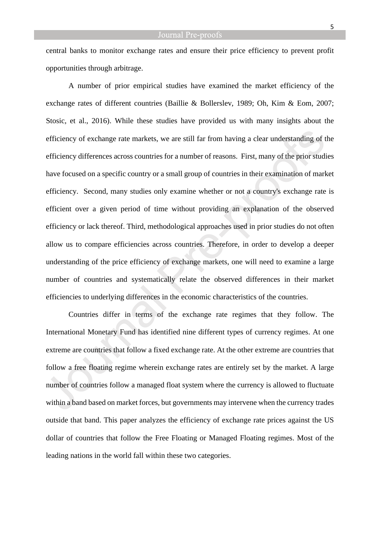central banks to monitor exchange rates and ensure their price efficiency to prevent profit opportunities through arbitrage.

A number of prior empirical studies have examined the market efficiency of the exchange rates of different countries (Baillie & Bollerslev, 1989; Oh, Kim & Eom, 2007; Stosic, et al., 2016). While these studies have provided us with many insights about the efficiency of exchange rate markets, we are still far from having a clear understanding of the efficiency differences across countries for a number of reasons. First, many of the prior studies have focused on a specific country or a small group of countries in their examination of market efficiency. Second, many studies only examine whether or not a country's exchange rate is efficient over a given period of time without providing an explanation of the observed efficiency or lack thereof. Third, methodological approaches used in prior studies do not often allow us to compare efficiencies across countries. Therefore, in order to develop a deeper understanding of the price efficiency of exchange markets, one will need to examine a large number of countries and systematically relate the observed differences in their market efficiencies to underlying differences in the economic characteristics of the countries.

Countries differ in terms of the exchange rate regimes that they follow. The International Monetary Fund has identified nine different types of currency regimes. At one extreme are countries that follow a fixed exchange rate. At the other extreme are countries that follow a free floating regime wherein exchange rates are entirely set by the market. A large number of countries follow a managed float system where the currency is allowed to fluctuate within a band based on market forces, but governments may intervene when the currency trades outside that band. This paper analyzes the efficiency of exchange rate prices against the US dollar of countries that follow the Free Floating or Managed Floating regimes. Most of the leading nations in the world fall within these two categories.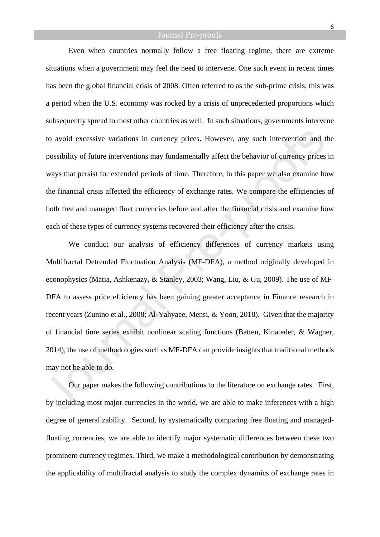Even when countries normally follow a free floating regime, there are extreme situations when a government may feel the need to intervene. One such event in recent times has been the global financial crisis of 2008. Often referred to as the sub-prime crisis, this was a period when the U.S. economy was rocked by a crisis of unprecedented proportions which subsequently spread to most other countries as well. In such situations, governments intervene to avoid excessive variations in currency prices. However, any such intervention and the possibility of future interventions may fundamentally affect the behavior of currency prices in ways that persist for extended periods of time. Therefore, in this paper we also examine how the financial crisis affected the efficiency of exchange rates. We compare the efficiencies of both free and managed float currencies before and after the financial crisis and examine how each of these types of currency systems recovered their efficiency after the crisis.

We conduct our analysis of efficiency differences of currency markets using Multifractal Detrended Fluctuation Analysis (MF-DFA), a method originally developed in econophysics (Matia, Ashkenazy, & Stanley, 2003; Wang, Liu, & Gu, 2009). The use of MF-DFA to assess price efficiency has been gaining greater acceptance in Finance research in recent years (Zunino et al., 2008; Al-Yahyaee, Mensi, & Yoon, 2018). Given that the majority of financial time series exhibit nonlinear scaling functions (Batten, Kinateder, & Wagner, 2014), the use of methodologies such as MF-DFA can provide insights that traditional methods may not be able to do.

Our paper makes the following contributions to the literature on exchange rates. First, by including most major currencies in the world, we are able to make inferences with a high degree of generalizability. Second, by systematically comparing free floating and managedfloating currencies, we are able to identify major systematic differences between these two prominent currency regimes. Third, we make a methodological contribution by demonstrating the applicability of multifractal analysis to study the complex dynamics of exchange rates in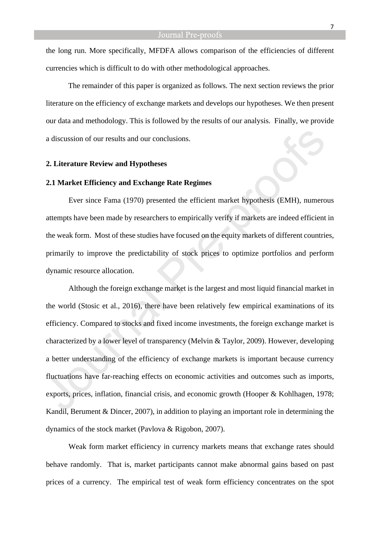the long run. More specifically, MFDFA allows comparison of the efficiencies of different currencies which is difficult to do with other methodological approaches.

The remainder of this paper is organized as follows. The next section reviews the prior literature on the efficiency of exchange markets and develops our hypotheses. We then present our data and methodology. This is followed by the results of our analysis. Finally, we provide a discussion of our results and our conclusions.

#### **2. Literature Review and Hypotheses**

#### **2.1 Market Efficiency and Exchange Rate Regimes**

Ever since Fama (1970) presented the efficient market hypothesis (EMH), numerous attempts have been made by researchers to empirically verify if markets are indeed efficient in the weak form. Most of these studies have focused on the equity markets of different countries, primarily to improve the predictability of stock prices to optimize portfolios and perform dynamic resource allocation.

Although the foreign exchange market is the largest and most liquid financial market in the world (Stosic et al., 2016), there have been relatively few empirical examinations of its efficiency. Compared to stocks and fixed income investments, the foreign exchange market is characterized by a lower level of transparency (Melvin & Taylor, 2009). However, developing a better understanding of the efficiency of exchange markets is important because currency fluctuations have far-reaching effects on economic activities and outcomes such as imports, exports, prices, inflation, financial crisis, and economic growth (Hooper & Kohlhagen, 1978; Kandil, Berument & Dincer, 2007), in addition to playing an important role in determining the dynamics of the stock market (Pavlova & Rigobon, 2007).

Weak form market efficiency in currency markets means that exchange rates should behave randomly. That is, market participants cannot make abnormal gains based on past prices of a currency. The empirical test of weak form efficiency concentrates on the spot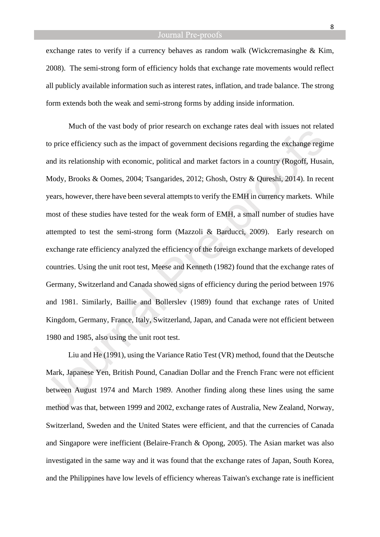exchange rates to verify if a currency behaves as random walk (Wickcremasinghe & Kim, 2008). The semi-strong form of efficiency holds that exchange rate movements would reflect all publicly available information such as interest rates, inflation, and trade balance. The strong form extends both the weak and semi-strong forms by adding inside information.

Much of the vast body of prior research on exchange rates deal with issues not related to price efficiency such as the impact of government decisions regarding the exchange regime and its relationship with economic, political and market factors in a country (Rogoff, Husain, Mody, Brooks & Oomes, 2004; Tsangarides, 2012; Ghosh, Ostry & Qureshi, 2014). In recent years, however, there have been several attempts to verify the EMH in currency markets. While most of these studies have tested for the weak form of EMH, a small number of studies have attempted to test the semi-strong form (Mazzoli & Barducci, 2009). Early research on exchange rate efficiency analyzed the efficiency of the foreign exchange markets of developed countries. Using the unit root test, Meese and Kenneth (1982) found that the exchange rates of Germany, Switzerland and Canada showed signs of efficiency during the period between 1976 and 1981. Similarly, Baillie and Bollerslev (1989) found that exchange rates of United Kingdom, Germany, France, Italy, Switzerland, Japan, and Canada were not efficient between 1980 and 1985, also using the unit root test.

Liu and He (1991), using the Variance Ratio Test (VR) method, found that the Deutsche Mark, Japanese Yen, British Pound, Canadian Dollar and the French Franc were not efficient between August 1974 and March 1989. Another finding along these lines using the same method was that, between 1999 and 2002, exchange rates of Australia, New Zealand, Norway, Switzerland, Sweden and the United States were efficient, and that the currencies of Canada and Singapore were inefficient (Belaire-Franch & Opong, 2005). The Asian market was also investigated in the same way and it was found that the exchange rates of Japan, South Korea, and the Philippines have low levels of efficiency whereas Taiwan's exchange rate is inefficient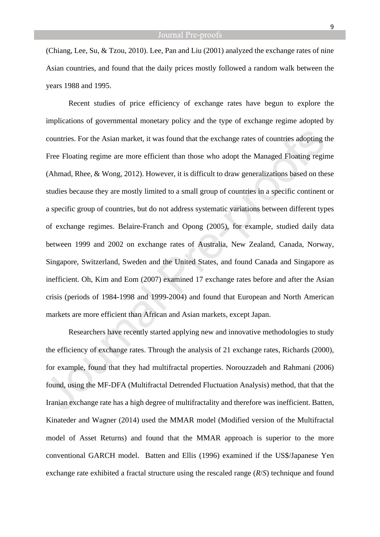(Chiang, Lee, Su, & Tzou, 2010). Lee, Pan and Liu (2001) analyzed the exchange rates of nine Asian countries, and found that the daily prices mostly followed a random walk between the years 1988 and 1995.

Recent studies of price efficiency of exchange rates have begun to explore the implications of governmental monetary policy and the type of exchange regime adopted by countries. For the Asian market, it was found that the exchange rates of countries adopting the Free Floating regime are more efficient than those who adopt the Managed Floating regime (Ahmad, Rhee, & Wong, 2012). However, it is difficult to draw generalizations based on these studies because they are mostly limited to a small group of countries in a specific continent or a specific group of countries, but do not address systematic variations between different types of exchange regimes. Belaire-Franch and Opong (2005), for example, studied daily data between 1999 and 2002 on exchange rates of Australia, New Zealand, Canada, Norway, Singapore, Switzerland, Sweden and the United States, and found Canada and Singapore as inefficient. Oh, Kim and Eom (2007) examined 17 exchange rates before and after the Asian crisis (periods of 1984-1998 and 1999-2004) and found that European and North American markets are more efficient than African and Asian markets, except Japan.

Researchers have recently started applying new and innovative methodologies to study the efficiency of exchange rates. Through the analysis of 21 exchange rates, Richards (2000), for example, found that they had multifractal properties. Norouzzadeh and Rahmani (2006) found, using the MF-DFA (Multifractal Detrended Fluctuation Analysis) method, that that the Iranian exchange rate has a high degree of multifractality and therefore was inefficient. Batten, Kinateder and Wagner (2014) used the MMAR model (Modified version of the Multifractal model of Asset Returns) and found that the MMAR approach is superior to the more conventional GARCH model. Batten and Ellis (1996) examined if the US\$/Japanese Yen exchange rate exhibited a fractal structure using the rescaled range (*R*/*S*) technique and found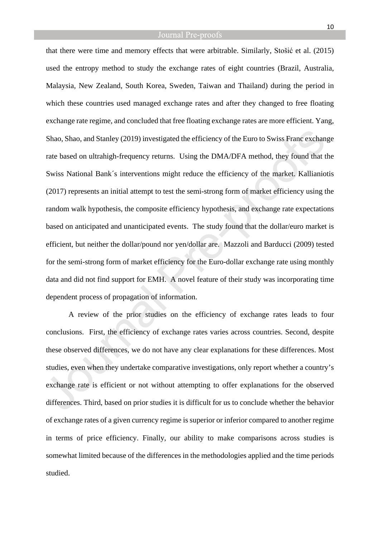that there were time and memory effects that were arbitrable. Similarly, Stošić et al. (2015) used the entropy method to study the exchange rates of eight countries (Brazil, Australia, Malaysia, New Zealand, South Korea, Sweden, Taiwan and Thailand) during the period in which these countries used managed exchange rates and after they changed to free floating exchange rate regime, and concluded that free floating exchange rates are more efficient. Yang, Shao, Shao, and Stanley (2019) investigated the efficiency of the Euro to Swiss Franc exchange rate based on ultrahigh-frequency returns. Using the DMA/DFA method, they found that the Swiss National Bank´s interventions might reduce the efficiency of the market. Kallianiotis (2017) represents an initial attempt to test the semi-strong form of market efficiency using the random walk hypothesis, the composite efficiency hypothesis, and exchange rate expectations based on anticipated and unanticipated events. The study found that the dollar/euro market is efficient, but neither the dollar/pound nor yen/dollar are. Mazzoli and Barducci (2009) tested for the semi-strong form of market efficiency for the Euro-dollar exchange rate using monthly data and did not find support for EMH. A novel feature of their study was incorporating time dependent process of propagation of information.

A review of the prior studies on the efficiency of exchange rates leads to four conclusions. First, the efficiency of exchange rates varies across countries. Second, despite these observed differences, we do not have any clear explanations for these differences. Most studies, even when they undertake comparative investigations, only report whether a country's exchange rate is efficient or not without attempting to offer explanations for the observed differences. Third, based on prior studies it is difficult for us to conclude whether the behavior of exchange rates of a given currency regime is superior or inferior compared to another regime in terms of price efficiency. Finally, our ability to make comparisons across studies is somewhat limited because of the differences in the methodologies applied and the time periods studied.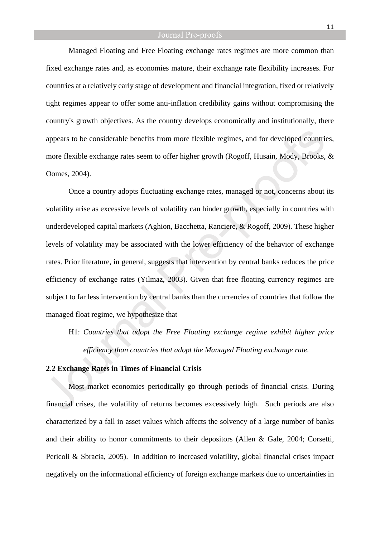Managed Floating and Free Floating exchange rates regimes are more common than fixed exchange rates and, as economies mature, their exchange rate flexibility increases. For countries at a relatively early stage of development and financial integration, fixed or relatively tight regimes appear to offer some anti-inflation credibility gains without compromising the country's growth objectives. As the country develops economically and institutionally, there appears to be considerable benefits from more flexible regimes, and for developed countries, more flexible exchange rates seem to offer higher growth (Rogoff, Husain, Mody, Brooks, & Oomes, 2004).

Once a country adopts fluctuating exchange rates, managed or not, concerns about its volatility arise as excessive levels of volatility can hinder growth, especially in countries with underdeveloped capital markets (Aghion, Bacchetta, Ranciere, & Rogoff, 2009). These higher levels of volatility may be associated with the lower efficiency of the behavior of exchange rates. Prior literature, in general, suggests that intervention by central banks reduces the price efficiency of exchange rates (Yilmaz, 2003). Given that free floating currency regimes are subject to far less intervention by central banks than the currencies of countries that follow the managed float regime, we hypothesize that

H1: *Countries that adopt the Free Floating exchange regime exhibit higher price efficiency than countries that adopt the Managed Floating exchange rate.*

#### **2.2 Exchange Rates in Times of Financial Crisis**

Most market economies periodically go through periods of financial crisis. During financial crises, the volatility of returns becomes excessively high. Such periods are also characterized by a fall in asset values which affects the solvency of a large number of banks and their ability to honor commitments to their depositors (Allen & Gale, 2004; Corsetti, Pericoli & Sbracia, 2005). In addition to increased volatility, global financial crises impact negatively on the informational efficiency of foreign exchange markets due to uncertainties in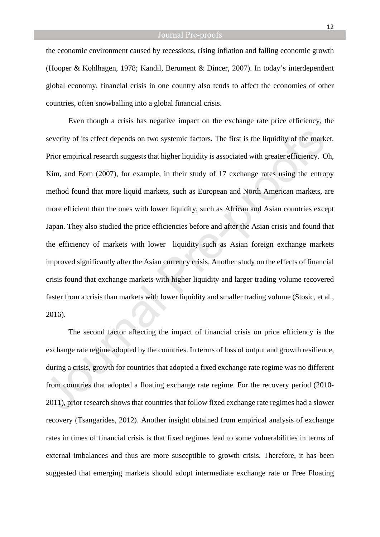the economic environment caused by recessions, rising inflation and falling economic growth (Hooper & Kohlhagen, 1978; Kandil, Berument & Dincer, 2007). In today's interdependent global economy, financial crisis in one country also tends to affect the economies of other countries, often snowballing into a global financial crisis.

Even though a crisis has negative impact on the exchange rate price efficiency, the severity of its effect depends on two systemic factors. The first is the liquidity of the market. Prior empirical research suggests that higher liquidity is associated with greater efficiency. Oh, Kim, and Eom (2007), for example, in their study of 17 exchange rates using the entropy method found that more liquid markets, such as European and North American markets, are more efficient than the ones with lower liquidity, such as African and Asian countries except Japan. They also studied the price efficiencies before and after the Asian crisis and found that the efficiency of markets with lower liquidity such as Asian foreign exchange markets improved significantly after the Asian currency crisis. Another study on the effects of financial crisis found that exchange markets with higher liquidity and larger trading volume recovered faster from a crisis than markets with lower liquidity and smaller trading volume (Stosic, et al., 2016).

The second factor affecting the impact of financial crisis on price efficiency is the exchange rate regime adopted by the countries. In terms of loss of output and growth resilience, during a crisis, growth for countries that adopted a fixed exchange rate regime was no different from countries that adopted a floating exchange rate regime. For the recovery period (2010- 2011), prior research shows that countries that follow fixed exchange rate regimes had a slower recovery (Tsangarides, 2012). Another insight obtained from empirical analysis of exchange rates in times of financial crisis is that fixed regimes lead to some vulnerabilities in terms of external imbalances and thus are more susceptible to growth crisis. Therefore, it has been suggested that emerging markets should adopt intermediate exchange rate or Free Floating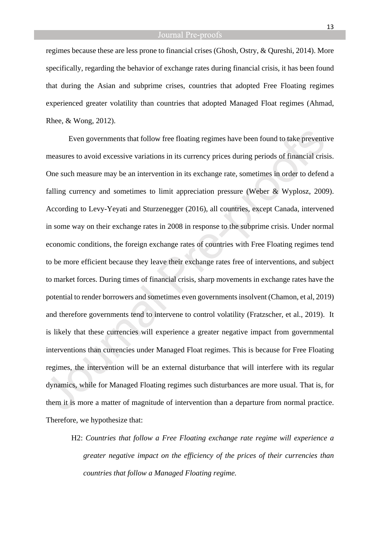regimes because these are less prone to financial crises (Ghosh, Ostry, & Qureshi, 2014). More specifically, regarding the behavior of exchange rates during financial crisis, it has been found that during the Asian and subprime crises, countries that adopted Free Floating regimes experienced greater volatility than countries that adopted Managed Float regimes (Ahmad, Rhee, & Wong, 2012).

Even governments that follow free floating regimes have been found to take preventive measures to avoid excessive variations in its currency prices during periods of financial crisis. One such measure may be an intervention in its exchange rate, sometimes in order to defend a falling currency and sometimes to limit appreciation pressure (Weber & Wyplosz, 2009). According to Levy-Yeyati and Sturzenegger (2016), all countries, except Canada, intervened in some way on their exchange rates in 2008 in response to the subprime crisis. Under normal economic conditions, the foreign exchange rates of countries with Free Floating regimes tend to be more efficient because they leave their exchange rates free of interventions, and subject to market forces. During times of financial crisis, sharp movements in exchange rates have the potential to render borrowers and sometimes even governments insolvent (Chamon, et al, 2019) and therefore governments tend to intervene to control volatility (Fratzscher, et al., 2019). It is likely that these currencies will experience a greater negative impact from governmental interventions than currencies under Managed Float regimes. This is because for Free Floating regimes, the intervention will be an external disturbance that will interfere with its regular dynamics, while for Managed Floating regimes such disturbances are more usual. That is, for them it is more a matter of magnitude of intervention than a departure from normal practice. Therefore, we hypothesize that:

H2: *Countries that follow a Free Floating exchange rate regime will experience a greater negative impact on the efficiency of the prices of their currencies than countries that follow a Managed Floating regime.*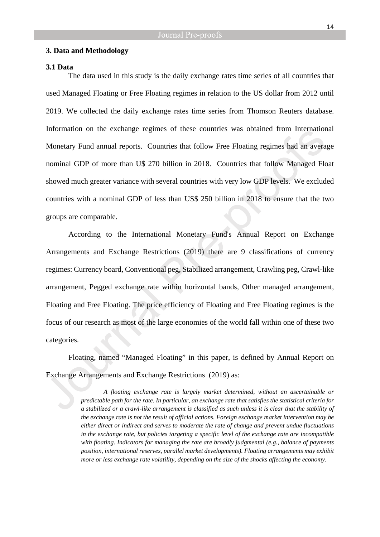#### **3. Data and Methodology**

#### **3.1 Data**

The data used in this study is the daily exchange rates time series of all countries that used Managed Floating or Free Floating regimes in relation to the US dollar from 2012 until 2019. We collected the daily exchange rates time series from Thomson Reuters database. Information on the exchange regimes of these countries was obtained from International Monetary Fund annual reports. Countries that follow Free Floating regimes had an average nominal GDP of more than U\$ 270 billion in 2018. Countries that follow Managed Float showed much greater variance with several countries with very low GDP levels. We excluded countries with a nominal GDP of less than US\$ 250 billion in 2018 to ensure that the two groups are comparable.

According to the International Monetary Fund's Annual Report on Exchange Arrangements and Exchange Restrictions (2019) there are 9 classifications of currency regimes: Currency board, Conventional peg, Stabilized arrangement, Crawling peg, Crawl-like arrangement, Pegged exchange rate within horizontal bands, Other managed arrangement, Floating and Free Floating. The price efficiency of Floating and Free Floating regimes is the focus of our research as most of the large economies of the world fall within one of these two categories.

Floating, named "Managed Floating" in this paper, is defined by Annual Report on Exchange Arrangements and Exchange Restrictions (2019) as:

> *A floating exchange rate is largely market determined, without an ascertainable or predictable path for the rate. In particular, an exchange rate that satisfies the statistical criteria for a stabilized or a crawl-like arrangement is classified as such unless it is clear that the stability of the exchange rate is not the result of official actions. Foreign exchange market intervention may be either direct or indirect and serves to moderate the rate of change and prevent undue fluctuations in the exchange rate, but policies targeting a specific level of the exchange rate are incompatible with floating. Indicators for managing the rate are broadly judgmental (e.g., balance of payments position, international reserves, parallel market developments). Floating arrangements may exhibit more or less exchange rate volatility, depending on the size of the shocks affecting the economy*.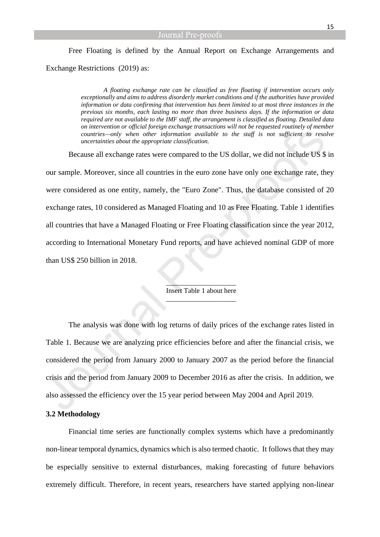# Free Floating is defined by the Annual Report on Exchange Arrangements and Exchange Restrictions (2019) as:

*A floating exchange rate can be classified as free floating if intervention occurs only exceptionally and aims to address disorderly market conditions and if the authorities have provided information or data confirming that intervention has been limited to at most three instances in the previous six months, each lasting no more than three business days. If the information or data required are not available to the IMF staff, the arrangement is classified as floating. Detailed data on intervention or official foreign exchange transactions will not be requested routinely of member countries—only when other information available to the staff is not sufficient to resolve uncertainties about the appropriate classification.*

Because all exchange rates were compared to the US dollar, we did not include US \$ in our sample. Moreover, since all countries in the euro zone have only one exchange rate, they were considered as one entity, namely, the "Euro Zone". Thus, the database consisted of 20 exchange rates, 10 considered as Managed Floating and 10 as Free Floating. Table 1 identifies all countries that have a Managed Floating or Free Floating classification since the year 2012, according to International Monetary Fund reports, and have achieved nominal GDP of more than US\$ 250 billion in 2018.

> $\overline{\phantom{a}}$  ,  $\overline{\phantom{a}}$  ,  $\overline{\phantom{a}}$  ,  $\overline{\phantom{a}}$  ,  $\overline{\phantom{a}}$  ,  $\overline{\phantom{a}}$  ,  $\overline{\phantom{a}}$  ,  $\overline{\phantom{a}}$  ,  $\overline{\phantom{a}}$  ,  $\overline{\phantom{a}}$  ,  $\overline{\phantom{a}}$  ,  $\overline{\phantom{a}}$  ,  $\overline{\phantom{a}}$  ,  $\overline{\phantom{a}}$  ,  $\overline{\phantom{a}}$  ,  $\overline{\phantom{a}}$ Insert Table 1 about here \_\_\_\_\_\_\_\_\_\_\_\_\_\_\_\_\_\_\_\_

The analysis was done with log returns of daily prices of the exchange rates listed in Table 1. Because we are analyzing price efficiencies before and after the financial crisis, we considered the period from January 2000 to January 2007 as the period before the financial crisis and the period from January 2009 to December 2016 as after the crisis. In addition, we also assessed the efficiency over the 15 year period between May 2004 and April 2019.

#### **3.2 Methodology**

Financial time series are functionally complex systems which have a predominantly non-linear temporal dynamics, dynamics which is also termed chaotic. It follows that they may be especially sensitive to external disturbances, making forecasting of future behaviors extremely difficult. Therefore, in recent years, researchers have started applying non-linear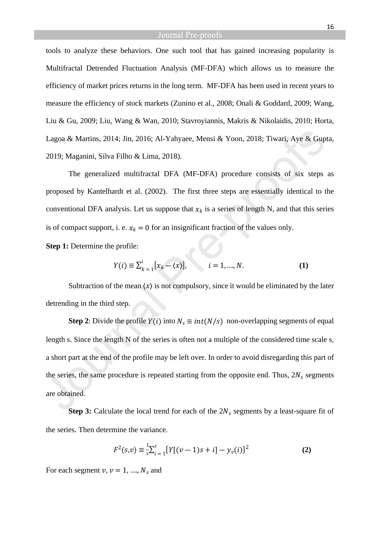tools to analyze these behaviors. One such tool that has gained increasing popularity is Multifractal Detrended Fluctuation Analysis (MF-DFA) which allows us to measure the efficiency of market prices returns in the long term. MF-DFA has been used in recent years to measure the efficiency of stock markets (Zunino et al., 2008; Onali & Goddard, 2009; Wang, Liu & Gu, 2009; Liu, Wang & Wan, 2010; Stavroyiannis, Makris & Nikolaidis, 2010; Horta, Lagoa & Martins, 2014; Jin, 2016; Al-Yahyaee, Mensi & Yoon, 2018; Tiwari, Aye & Gupta, 2019; Maganini, Silva Filho & Lima, 2018).

The generalized multifractal DFA (MF-DFA) procedure consists of six steps as proposed by Kantelhardt et al. (2002). The first three steps are essentially identical to the conventional DFA analysis. Let us suppose that  $x_k$  is a series of length N, and that this series is of compact support, i. e.  $x_k = 0$  for an insignificant fraction of the values only.

**Step 1:** Determine the profile:

$$
Y(i) \equiv \sum_{k=1}^{i} [x_k - \langle x \rangle], \qquad i = 1, ..., N. \tag{1}
$$

Subtraction of the mean  $\langle x \rangle$  is not compulsory, since it would be eliminated by the later detrending in the third step.

**Step 2**: Divide the profile  $Y(i)$  into  $N_s \equiv int(N/s)$  non-overlapping segments of equal length s. Since the length N of the series is often not a multiple of the considered time scale s, a short part at the end of the profile may be left over. In order to avoid disregarding this part of the series, the same procedure is repeated starting from the opposite end. Thus,  $2N_s$  segments are obtained.

**Step 3:** Calculate the local trend for each of the  $2N_s$  segments by a least-square fit of the series. Then determine the variance.

$$
F^{2}(s,v) \equiv \frac{1}{s} \sum_{i=1}^{s} \{ Y[(v-1)s+i] - y_{v}(i) \}^{2}
$$
 (2)

For each segment  $v, v = 1, ..., N_s$  and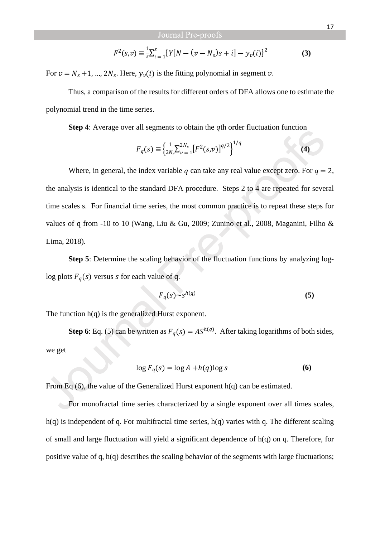$$
F^{2}(s,\nu) \equiv \frac{1}{s} \sum_{i=1}^{s} \{ Y[N - (\nu - N_{s})s + i] - y_{\nu}(i) \}^{2}
$$
 (3)

For  $v = N_s + 1$ , …,  $2N_s$ . Here,  $y_v(i)$  is the fitting polynomial in segment v.

Thus, a comparison of the results for different orders of DFA allows one to estimate the polynomial trend in the time series.

**Step 4**: Average over all segments to obtain the *q*th order fluctuation function

$$
F_q(s) \equiv \left\{ \frac{1}{2N_s} \sum_{\nu=1}^{2N_s} \left[ F^2(s,\nu) \right]^{q/2} \right\}^{1/q}
$$
 (4)

Where, in general, the index variable q can take any real value except zero. For  $q = 2$ , the analysis is identical to the standard DFA procedure. Steps 2 to 4 are repeated for several time scales s. For financial time series, the most common practice is to repeat these steps for values of q from -10 to 10 (Wang, Liu & Gu, 2009; Zunino et al., 2008, Maganini, Filho & Lima, 2018).

**Step 5**: Determine the scaling behavior of the fluctuation functions by analyzing loglog plots  $F_q(s)$  versus s for each value of q.

$$
F_q(s) \sim s^{h(q)} \tag{5}
$$

The function  $h(q)$  is the generalized Hurst exponent.

**Step 6**: Eq. (5) can be written as  $F_q(s) = AS^{h(q)}$ . After taking logarithms of both sides, we get

$$
\log F_q(s) = \log A + h(q) \log s \tag{6}
$$

From Eq (6), the value of the Generalized Hurst exponent h(q) can be estimated.

For monofractal time series characterized by a single exponent over all times scales,  $h(q)$  is independent of q. For multifractal time series,  $h(q)$  varies with q. The different scaling of small and large fluctuation will yield a significant dependence of h(q) on q. Therefore, for positive value of q, h(q) describes the scaling behavior of the segments with large fluctuations;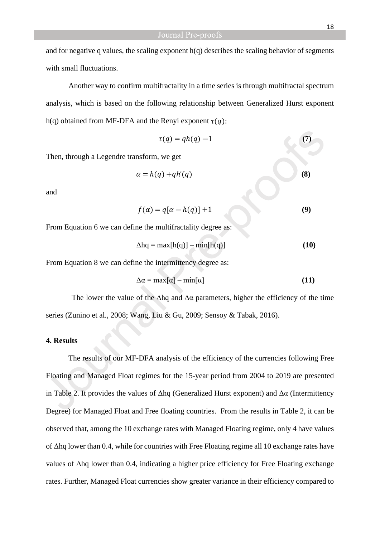and for negative q values, the scaling exponent h(q) describes the scaling behavior of segments with small fluctuations.

Another way to confirm multifractality in a time series is through multifractal spectrum analysis, which is based on the following relationship between Generalized Hurst exponent h(q) obtained from MF-DFA and the Renyi exponent  $\tau(q)$ :

$$
\tau(q) = qh(q) - 1 \tag{7}
$$

Then, through a Legendre transform, we get

$$
\alpha = h(q) + qh'(q) \tag{8}
$$

and

$$
f(\alpha) = q[\alpha - h(q)] + 1 \tag{9}
$$

From Equation 6 we can define the multifractality degree as:

$$
\Delta hq = \max[h(q)] - \min[h(q)] \tag{10}
$$

From Equation 8 we can define the intermittency degree as:

$$
\Delta \alpha = \max[\alpha] - \min[\alpha] \tag{11}
$$

The lower the value of the  $\Delta$ hq and  $\Delta\alpha$  parameters, higher the efficiency of the time series (Zunino et al., 2008; Wang, Liu & Gu, 2009; Sensoy & Tabak, 2016).

#### **4. Results**

The results of our MF-DFA analysis of the efficiency of the currencies following Free Floating and Managed Float regimes for the 15-year period from 2004 to 2019 are presented in Table 2. It provides the values of  $Δhq$  (Generalized Hurst exponent) and  $Δα$  (Intermittency Degree) for Managed Float and Free floating countries. From the results in Table 2, it can be observed that, among the 10 exchange rates with Managed Floating regime, only 4 have values of Δhq lower than 0.4, while for countries with Free Floating regime all 10 exchange rates have values of Δhq lower than 0.4, indicating a higher price efficiency for Free Floating exchange rates. Further, Managed Float currencies show greater variance in their efficiency compared to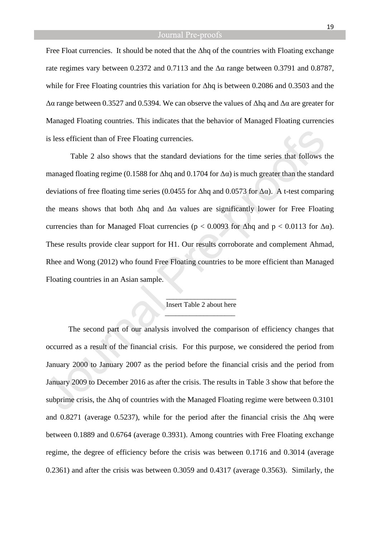Free Float currencies. It should be noted that the Δhq of the countries with Floating exchange rate regimes vary between 0.2372 and 0.7113 and the Δα range between 0.3791 and 0.8787, while for Free Floating countries this variation for Δhq is between 0.2086 and 0.3503 and the Δα range between 0.3527 and 0.5394. We can observe the values of Δhq and Δα are greater for Managed Floating countries. This indicates that the behavior of Managed Floating currencies is less efficient than of Free Floating currencies.

 Table 2 also shows that the standard deviations for the time series that follows the managed floating regime (0.1588 for  $\Delta$ hq and 0.1704 for  $\Delta \alpha$ ) is much greater than the standard deviations of free floating time series (0.0455 for  $\Delta$ hq and 0.0573 for  $\Delta \alpha$ ). A t-test comparing the means shows that both  $\Delta$ hq and  $\Delta\alpha$  values are significantly lower for Free Floating currencies than for Managed Float currencies ( $p < 0.0093$  for  $\Delta$ hq and  $p < 0.0113$  for  $\Delta \alpha$ ). These results provide clear support for H1. Our results corroborate and complement Ahmad, Rhee and Wong (2012) who found Free Floating countries to be more efficient than Managed Floating countries in an Asian sample.

#### \_\_\_\_\_\_\_\_\_\_\_\_\_\_\_\_\_\_\_\_ Insert Table 2 about here \_\_\_\_\_\_\_\_\_\_\_\_\_\_\_\_\_\_\_\_

The second part of our analysis involved the comparison of efficiency changes that occurred as a result of the financial crisis. For this purpose, we considered the period from January 2000 to January 2007 as the period before the financial crisis and the period from January 2009 to December 2016 as after the crisis. The results in Table 3 show that before the subprime crisis, the  $\Delta$ hq of countries with the Managed Floating regime were between 0.3101 and 0.8271 (average 0.5237), while for the period after the financial crisis the Δhq were between 0.1889 and 0.6764 (average 0.3931). Among countries with Free Floating exchange regime, the degree of efficiency before the crisis was between 0.1716 and 0.3014 (average 0.2361) and after the crisis was between 0.3059 and 0.4317 (average 0.3563). Similarly, the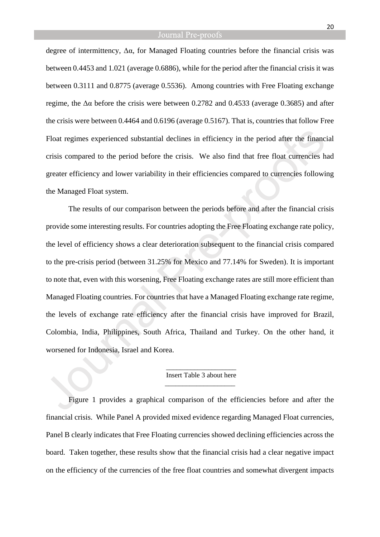degree of intermittency,  $\Delta \alpha$ , for Managed Floating countries before the financial crisis was between 0.4453 and 1.021 (average 0.6886), while for the period after the financial crisis it was between 0.3111 and 0.8775 (average 0.5536). Among countries with Free Floating exchange regime, the Δα before the crisis were between 0.2782 and 0.4533 (average 0.3685) and after the crisis were between 0.4464 and 0.6196 (average 0.5167). That is, countries that follow Free Float regimes experienced substantial declines in efficiency in the period after the financial crisis compared to the period before the crisis. We also find that free float currencies had greater efficiency and lower variability in their efficiencies compared to currencies following the Managed Float system.

The results of our comparison between the periods before and after the financial crisis provide some interesting results. For countries adopting the Free Floating exchange rate policy, the level of efficiency shows a clear deterioration subsequent to the financial crisis compared to the pre-crisis period (between 31.25% for Mexico and 77.14% for Sweden). It is important to note that, even with this worsening, Free Floating exchange rates are still more efficient than Managed Floating countries. For countries that have a Managed Floating exchange rate regime, the levels of exchange rate efficiency after the financial crisis have improved for Brazil, Colombia, India, Philippines, South Africa, Thailand and Turkey. On the other hand, it worsened for Indonesia, Israel and Korea.

#### \_\_\_\_\_\_\_\_\_\_\_\_\_\_\_\_\_\_\_\_ Insert Table 3 about here \_\_\_\_\_\_\_\_\_\_\_\_\_\_\_\_\_\_\_\_

Figure 1 provides a graphical comparison of the efficiencies before and after the financial crisis. While Panel A provided mixed evidence regarding Managed Float currencies, Panel B clearly indicates that Free Floating currencies showed declining efficiencies across the board. Taken together, these results show that the financial crisis had a clear negative impact on the efficiency of the currencies of the free float countries and somewhat divergent impacts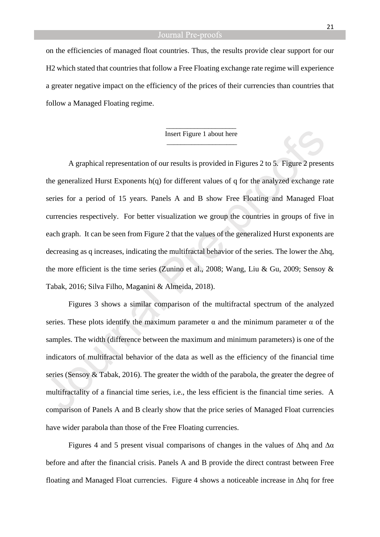on the efficiencies of managed float countries. Thus, the results provide clear support for our H2 which stated that countries that follow a Free Floating exchange rate regime will experience a greater negative impact on the efficiency of the prices of their currencies than countries that follow a Managed Floating regime.

#### \_\_\_\_\_\_\_\_\_\_\_\_\_\_\_\_\_\_\_\_ Insert Figure 1 about here \_\_\_\_\_\_\_\_\_\_\_\_\_\_\_\_\_\_\_\_

A graphical representation of our results is provided in Figures 2 to 5.Figure 2 presents the generalized Hurst Exponents h(q) for different values of q for the analyzed exchange rate series for a period of 15 years. Panels A and B show Free Floating and Managed Float currencies respectively. For better visualization we group the countries in groups of five in each graph. It can be seen from Figure 2 that the values of the generalized Hurst exponents are decreasing as q increases, indicating the multifractal behavior of the series. The lower the Δhq, the more efficient is the time series (Zunino et al., 2008; Wang, Liu & Gu, 2009; Sensoy & Tabak, 2016; Silva Filho, Maganini & Almeida, 2018).

Figures 3 shows a similar comparison of the multifractal spectrum of the analyzed series. These plots identify the maximum parameter  $\alpha$  and the minimum parameter  $\alpha$  of the samples. The width (difference between the maximum and minimum parameters) is one of the indicators of multifractal behavior of the data as well as the efficiency of the financial time series (Sensoy & Tabak, 2016). The greater the width of the parabola, the greater the degree of multifractality of a financial time series, i.e., the less efficient is the financial time series. A comparison of Panels A and B clearly show that the price series of Managed Float currencies have wider parabola than those of the Free Floating currencies.

Figures 4 and 5 present visual comparisons of changes in the values of  $\Delta$ hq and  $\Delta \alpha$ before and after the financial crisis. Panels A and B provide the direct contrast between Free floating and Managed Float currencies. Figure 4 shows a noticeable increase in Δhq for free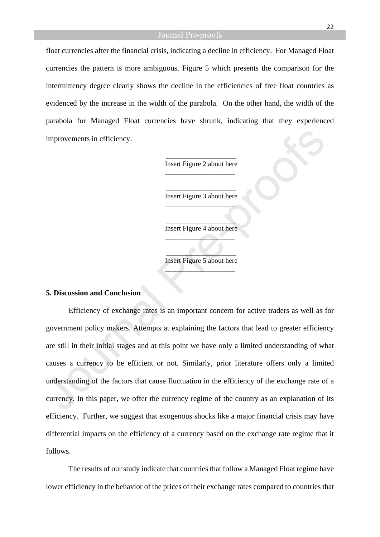float currencies after the financial crisis, indicating a decline in efficiency. For Managed Float currencies the pattern is more ambiguous. Figure 5 which presents the comparison for the intermittency degree clearly shows the decline in the efficiencies of free float countries as evidenced by the increase in the width of the parabola. On the other hand, the width of the parabola for Managed Float currencies have shrunk, indicating that they experienced improvements in efficiency.

> \_\_\_\_\_\_\_\_\_\_\_\_\_\_\_\_\_\_\_\_ Insert Figure 2 about here \_\_\_\_\_\_\_\_\_\_\_\_\_\_\_\_\_\_\_\_

> \_\_\_\_\_\_\_\_\_\_\_\_\_\_\_\_\_\_\_\_ Insert Figure 3 about here  $\_$

> $\overline{\phantom{a}}$  , where  $\overline{\phantom{a}}$ Insert Figure 4 about here  $\overline{\phantom{a}}$

> $\overline{\phantom{a}}$ Insert Figure 5 about here  $\overline{\phantom{a}}$

### **5. Discussion and Conclusion**

Efficiency of exchange rates is an important concern for active traders as well as for government policy makers. Attempts at explaining the factors that lead to greater efficiency are still in their initial stages and at this point we have only a limited understanding of what causes a currency to be efficient or not. Similarly, prior literature offers only a limited understanding of the factors that cause fluctuation in the efficiency of the exchange rate of a currency. In this paper, we offer the currency regime of the country as an explanation of its efficiency. Further, we suggest that exogenous shocks like a major financial crisis may have differential impacts on the efficiency of a currency based on the exchange rate regime that it follows.

The results of our study indicate that countries that follow a Managed Float regime have lower efficiency in the behavior of the prices of their exchange rates compared to countries that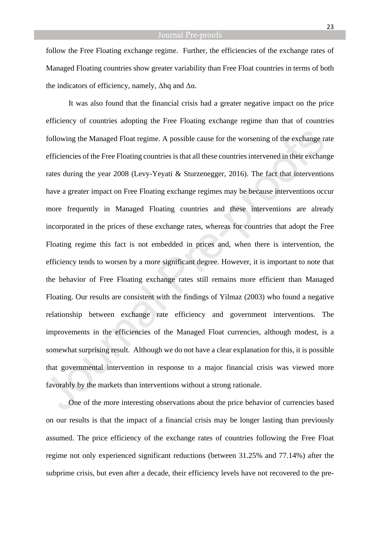follow the Free Floating exchange regime. Further, the efficiencies of the exchange rates of Managed Floating countries show greater variability than Free Float countries in terms of both the indicators of efficiency, namely,  $\Delta$ hq and  $\Delta \alpha$ .

It was also found that the financial crisis had a greater negative impact on the price efficiency of countries adopting the Free Floating exchange regime than that of countries following the Managed Float regime. A possible cause for the worsening of the exchange rate efficiencies of the Free Floating countries is that all these countries intervened in their exchange rates during the year 2008 (Levy-Yeyati & Sturzenegger, 2016). The fact that interventions have a greater impact on Free Floating exchange regimes may be because interventions occur more frequently in Managed Floating countries and these interventions are already incorporated in the prices of these exchange rates, whereas for countries that adopt the Free Floating regime this fact is not embedded in prices and, when there is intervention, the efficiency tends to worsen by a more significant degree. However, it is important to note that the behavior of Free Floating exchange rates still remains more efficient than Managed Floating. Our results are consistent with the findings of Yilmaz (2003) who found a negative relationship between exchange rate efficiency and government interventions. The improvements in the efficiencies of the Managed Float currencies, although modest, is a somewhat surprising result. Although we do not have a clear explanation for this, it is possible that governmental intervention in response to a major financial crisis was viewed more favorably by the markets than interventions without a strong rationale.

One of the more interesting observations about the price behavior of currencies based on our results is that the impact of a financial crisis may be longer lasting than previously assumed. The price efficiency of the exchange rates of countries following the Free Float regime not only experienced significant reductions (between 31.25% and 77.14%) after the subprime crisis, but even after a decade, their efficiency levels have not recovered to the pre-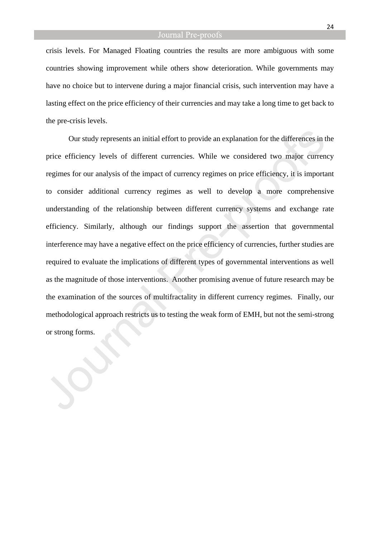crisis levels. For Managed Floating countries the results are more ambiguous with some countries showing improvement while others show deterioration. While governments may have no choice but to intervene during a major financial crisis, such intervention may have a lasting effect on the price efficiency of their currencies and may take a long time to get back to the pre-crisis levels.

Our study represents an initial effort to provide an explanation for the differences in the price efficiency levels of different currencies. While we considered two major currency regimes for our analysis of the impact of currency regimes on price efficiency, it is important to consider additional currency regimes as well to develop a more comprehensive understanding of the relationship between different currency systems and exchange rate efficiency. Similarly, although our findings support the assertion that governmental interference may have a negative effect on the price efficiency of currencies, further studies are required to evaluate the implications of different types of governmental interventions as well as the magnitude of those interventions. Another promising avenue of future research may be the examination of the sources of multifractality in different currency regimes. Finally, our methodological approach restricts us to testing the weak form of EMH, but not the semi-strong or strong forms.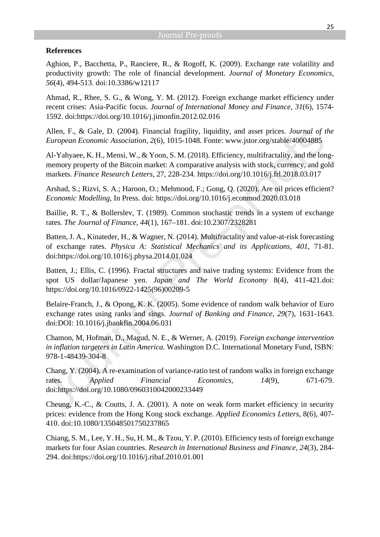#### **References**

Aghion, P., Bacchetta, P., Ranciere, R., & Rogoff, K. (2009). Exchange rate volatility and productivity growth: The role of financial development. *Journal of Monetary Economics, 56*(4), 494-513. doi:10.3386/w12117

Ahmad, R., Rhee, S. G., & Wong, Y. M. (2012). Foreign exchange market efficiency under recent crises: Asia-Pacific focus. *Journal of International Money and Finance, 31*(6), 1574- 1592. doi:https://doi.org/10.1016/j.jimonfin.2012.02.016

Allen, F., & Gale, D. (2004). Financial fragility, liquidity, and asset prices. *Journal of the European Economic Association, 2*(6), 1015-1048. Fonte: www.jstor.org/stable/40004885

Al-Yahyaee, K. H., Mensi, W., & Yoon, S. M. (2018). Efficiency, multifractality, and the longmemory property of the Bitcoin market: A comparative analysis with stock, currency, and gold markets. *Finance Research Letters*, 27, 228-234.<https://doi.org/10.1016/j.frl.2018.03.017>

Arshad, S.; Rizvi, S. A.; Haroon, O.; Mehmood, F.; Gong, Q. (2020). Are oil prices efficient? *Economic Modelling*, In Press. doi: https://doi.org/10.1016/j.econmod.2020.03.018

Baillie, R. T., & Bollerslev, T. (1989). Common stochastic trends in a system of exchange rates. *The Journal of Finance, 44*(1), 167–181. doi:10.2307/2328281

Batten, J. A., Kinateder, H., & Wagner, N. (2014). Multifractality and value-at-risk forecasting of exchange rates. *Physica A: Statistical Mechanics and its Applications, 401*, 71-81. doi:https://doi.org/10.1016/j.physa.2014.01.024

Batten, J.; Ellis, C. (1996). Fractal structures and naive trading systems: Evidence from the spot US dollar/Japanese yen. *Japan and The World Economy* 8(4), 411-421.doi: [https://doi.org/10.1016/0922-1425\(96\)00209-5](https://doi.org/10.1016/0922-1425(96)00209-5)

Belaire-Franch, J., & Opong, K. K. (2005). Some evidence of random walk behavior of Euro exchange rates using ranks and sings. *Journal of Banking and Finance, 29*(7), 1631-1643. doi:DOI: 10.1016/j.jbankfin.2004.06.031

Chamon, M, Hofman, D., Magud, N. E., & Werner, A. (2019). *Foreign exchange intervention in inflation targeters in Latin America*. Washington D.C. International Monetary Fund, ISBN: 978-1-48439-304-8

Chang, Y. (2004). A re-examination of variance-ratio test of random walks in foreign exchange rates. *Applied Financial Economics, 14*(9), 671-679. doi:https://doi.org/10.1080/0960310042000233449

Cheung, K.-C., & Coutts, J. A. (2001). A note on weak form market efficiency in security prices: evidence from the Hong Kong stock exchange. *Applied Economics Letters*, 8(6), 407- 410. doi:10.1080/135048501750237865

Chiang, S. M., Lee, Y. H., Su, H. M., & Tzou, Y. P. (2010). Efficiency tests of foreign exchange markets for four Asian countries. *Research in International Business and Finance, 24*(3), 284- 294. doi:https://doi.org/10.1016/j.ribaf.2010.01.001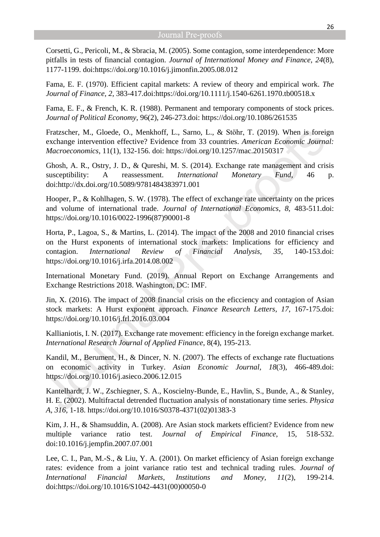Corsetti, G., Pericoli, M., & Sbracia, M. (2005). Some contagion, some interdependence: More pitfalls in tests of financial contagion. *Journal of International Money and Finance, 24*(8), 1177-1199. doi:https://doi.org/10.1016/j.jimonfin.2005.08.012

Fama, E. F. (1970). Efficient capital markets: A review of theory and empirical work. *The Journal of Finance, 2*, 383-417.doi:<https://doi.org/10.1111/j.1540-6261.1970.tb00518.x>

Fama, E. F., & French, K. R. (1988). Permanent and temporary components of stock prices. *Journal of Political Economy*, 96(2), 246-273.doi:<https://doi.org/10.1086/261535>

Fratzscher, M., Gloede, O., Menkhoff, L., Sarno, L., & Stӧhr, T. (2019). When is foreign exchange intervention effective? Evidence from 33 countries. *American Economic Journal: Macroeconomics*, 11(1), 132-156. doi:<https://doi.org/10.1257/mac.20150317>

Ghosh, A. R., Ostry, J. D., & Qureshi, M. S. (2014). Exchange rate management and crisis susceptibility: A reassessment. *International Monetary Fund*, 46 p. doi:http://dx.doi.org/10.5089/9781484383971.001

Hooper, P., & Kohlhagen, S. W. (1978). The effect of exchange rate uncertainty on the prices and volume of international trade. *Journal of International Economics, 8*, 483-511.doi: [https://doi.org/10.1016/0022-1996\(87\)90001-8](https://doi.org/10.1016/0022-1996(87)90001-8)

Horta, P., Lagoa, S., & Martins, L. (2014). The impact of the 2008 and 2010 financial crises on the Hurst exponents of international stock markets: Implications for efficiency and contagion. *International Review of Financial Analysis, 35*, 140-153.doi: <https://doi.org/10.1016/j.irfa.2014.08.002>

International Monetary Fund. (2019). Annual Report on Exchange Arrangements and Exchange Restrictions 2018. Washington, DC: IMF.

Jin, X. (2016). The impact of 2008 financial crisis on the eficciency and contagion of Asian stock markets: A Hurst exponent approach. *Finance Research Letters, 17*, 167-175.doi: <https://doi.org/10.1016/j.frl.2016.03.004>

Kallianiotis, I. N. (2017). Exchange rate movement: efficiency in the foreign exchange market. *International Research Journal of Applied Finance*, 8(4), 195-213.

Kandil, M., Berument, H., & Dincer, N. N. (2007). The effects of exchange rate fluctuations on economic activity in Turkey. *Asian Economic Journal, 18*(3), 466-489.doi: <https://doi.org/10.1016/j.asieco.2006.12.015>

Kantelhardt, J. W., Zschiegner, S. A., Koscielny-Bunde, E., Havlin, S., Bunde, A., & Stanley, H. E. (2002). Multifractal detrended fluctuation analysis of nonstationary time series. *Physica A, 316*, 1-18. [https://doi.org/10.1016/S0378-4371\(02\)01383-3](https://doi.org/10.1016/S0378-4371(02)01383-3)

Kim, J. H., & Shamsuddin, A. (2008). Are Asian stock markets efficient? Evidence from new multiple variance ratio test. *Journal of Empirical Finance*, 15, 518-532. doi:10.1016/j.jempfin.2007.07.001

Lee, C. I., Pan, M.-S., & Liu, Y. A. (2001). On market efficiency of Asian foreign exchange rates: evidence from a joint variance ratio test and technical trading rules. *Journal of International Financial Markets, Institutions and Money, 11*(2), 199-214. doi:https://doi.org/10.1016/S1042-4431(00)00050-0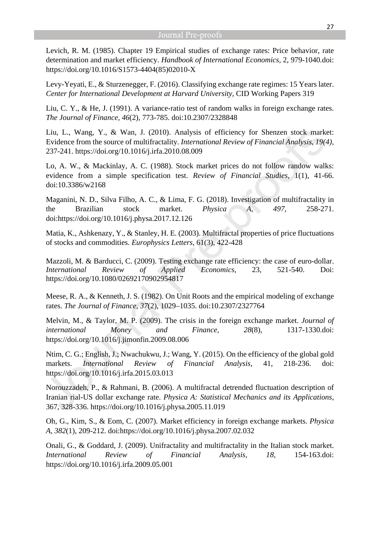Levich, R. M. (1985). Chapter 19 Empirical studies of exchange rates: Price behavior, rate determination and market efficiency. *Handbook of International Economics*, 2, 979-1040.doi: [https://doi.org/10.1016/S1573-4404\(85\)02010-X](https://doi.org/10.1016/S1573-4404(85)02010-X)

Levy-Yeyati, E., & Sturzenegger, F. (2016). Classifying exchange rate regimes: 15 Years later. *Center for International Development at Harvard University*, CID Working Papers 319

Liu, C. Y., & He, J. (1991). A variance-ratio test of random walks in foreign exchange rates. *The Journal of Finance, 46*(2), 773-785. doi:10.2307/2328848

Liu, L., Wang, Y., & Wan, J. (2010). Analysis of efficiency for Shenzen stock market: Evidence from the source of multifractality. *International Review of Financial Analysis, 19(4)*, 237-241. <https://doi.org/10.1016/j.irfa.2010.08.009>

Lo, A. W., & Mackinlay, A. C. (1988). Stock market prices do not follow randow walks: evidence from a simple specification test. *Review of Financial Studies*, 1(1), 41-66. doi:10.3386/w2168

Maganini, N. D., Silva Filho, A. C., & Lima, F. G. (2018). Investigation of multifractality in the Brazilian stock market. *Physica A, 497*, 258-271. doi:https://doi.org/10.1016/j.physa.2017.12.126

Matia, K., Ashkenazy, Y., & Stanley, H. E. (2003). Multifractal properties of price fluctuations of stocks and commodities. *Europhysics Letters*, 61(3), 422-428

Mazzoli, M. & Barducci, C. (2009). Testing exchange rate efficiency: the case of euro-dollar. *International Review of Applied Economics*, 23, 521-540. Doi: <https://doi.org/10.1080/02692170902954817>

Meese, R. A., & Kenneth, J. S. (1982). On Unit Roots and the empirical modeling of exchange rates. *The Journal of Finance, 37*(2), 1029–1035. doi:10.2307/2327764

Melvin, M., & Taylor, M. P. (2009). The crisis in the foreign exchange market. *Journal of international Money and Finance, 28*(8), 1317-1330.doi: <https://doi.org/10.1016/j.jimonfin.2009.08.006>

Ntim, C. G.; English, J.; Nwachukwu, J.; Wang, Y. (2015). On the efficiency of the global gold markets. *International Review of Financial Analysis*, 41, 218-236. doi: <https://doi.org/10.1016/j.irfa.2015.03.013>

Norouzzadeh, P., & Rahmani, B. (2006). A multifractal detrended fluctuation description of Iranian rial-US dollar exchange rate. *Physica A: Statistical Mechanics and its Applications*, 367, 328-336. <https://doi.org/10.1016/j.physa.2005.11.019>

Oh, G., Kim, S., & Eom, C. (2007). Market efficiency in foreign exchange markets. *Physica A, 382*(1), 209-212. doi:https://doi.org/10.1016/j.physa.2007.02.032

Onali, G., & Goddard, J. (2009). Unifractality and multifractality in the Italian stock market. *International Review of Financial Analysis, 18*, 154-163.doi: <https://doi.org/10.1016/j.irfa.2009.05.001>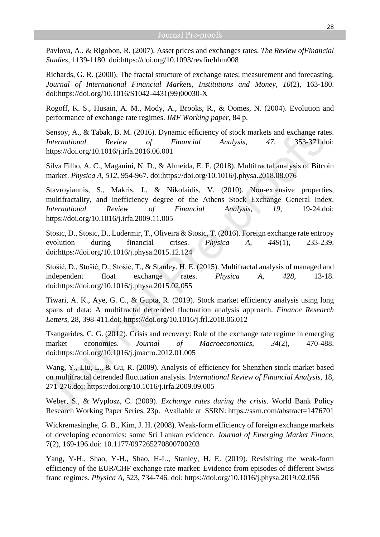Pavlova, A., & Rigobon, R. (2007). Asset prices and exchanges rates. *The Review ofFinancial Studies*, 1139-1180. doi:https://doi.org/10.1093/revfin/hhm008

Richards, G. R. (2000). The fractal structure of exchange rates: measurement and forecasting. *Journal of International Financial Markets, Institutions and Money, 10*(2), 163-180. doi:https://doi.org/10.1016/S1042-4431(99)00030-X

Rogoff, K. S., Husain, A. M., Mody, A., Brooks, R., & Oomes, N. (2004). Evolution and performance of exchange rate regimes. *IMF Working paper*, 84 p.

Sensoy, A., & Tabak, B. M. (2016). Dynamic efficiency of stock markets and exchange rates. *International Review of Financial Analysis, 47*, 353-371.doi: <https://doi.org/10.1016/j.irfa.2016.06.001>

Silva Filho, A. C., Maganini, N. D., & Almeida, E. F. (2018). Multifractal analysis of Bitcoin market. *Physica A, 512*, 954-967. doi:https://doi.org/10.1016/j.physa.2018.08.076

Stavroyiannis, S., Makris, I., & Nikolaidis, V. (2010). Non-extensive properties, multifractality, and inefficiency degree of the Athens Stock Exchange General Index. *International Review of Financial Analysis, 19*, 19-24.doi: <https://doi.org/10.1016/j.irfa.2009.11.005>

Stosic, D., Stosic, D., Ludermir, T., Oliveira & Stosic, T. (2016). Foreign exchange rate entropy evolution during financial crises. *Physica A, 449*(1), 233-239. doi:https://doi.org/10.1016/j.physa.2015.12.124

Stošić, D., Stošić, D., Stošić, T., & Stanley, H. E. (2015). Multifractal analysis of managed and independent float exchange rates. *Physica A, 428*, 13-18. doi:https://doi.org/10.1016/j.physa.2015.02.055

Tiwari, A. K., Aye, G. C., & Gupta, R. (2019). Stock market efficiency analysis using long spans of data: A multifractal detrended fluctuation analysis approach. *Finance Research Letters*, 28, 398-411.doi:<https://doi.org/10.1016/j.frl.2018.06.012>

Tsangarides, C. G. (2012). Crisis and recovery: Role of the exchange rate regime in emerging market economies. *Journal of Macroeconomics, 34*(2), 470-488. doi:https://doi.org/10.1016/j.jmacro.2012.01.005

Wang, Y., Liu, L., & Gu, R. (2009). Analysis of efficiency for Shenzhen stock market based on multifractal detrended fluctuation analysis. I*nternational Review of Financial Analysis*, 18, 271-276.doi: <https://doi.org/10.1016/j.irfa.2009.09.005>

Weber, S., & Wyplosz, C. (2009). *Exchange rates during the crisis*. World Bank Policy Research Working Paper Series. 23p. Available at SSRN: [https://ssrn.com/abstract=1476701](https://nam05.safelinks.protection.outlook.com/?url=https%3A%2F%2Fssrn.com%2Fabstract%3D1476701&data=02%7C01%7Cabdul%40uta.edu%7Cc1e63e75cb2d4efff95208d80ee264c2%7C5cdc5b43d7be4caa8173729e3b0a62d9%7C0%7C0%7C637275712795847391&sdata=yVUk038Mktj3R8b%2FlUh6mHeYiSRuArkRJiTDUsHNV44%3D&reserved=0)

Wickremasinghe, G. B., Kim, J. H. (2008). Weak-form efficiency of foreign exchange markets of developing economies: some Sri Lankan evidence. *Journal of Emerging Market Finace*, 7(2), 169-196.doi: [10.1177/097265270800700203](https://doi.org/10.1177/097265270800700203)

Yang, Y-H., Shao, Y-H., Shao, H-L., Stanley, H. E. (2019). Revisiting the weak-form efficiency of the EUR/CHF exchange rate market: Evidence from episodes of different Swiss franc regimes. *Physica A*, 523, 734-746. doi: [https://doi.org/10.1016/j.physa.2019.02.056](https://doi-org-ez91-periodicos-capes-gov-br.sbproxy.fgv.br/10.1016/j.physa.2019.02.056)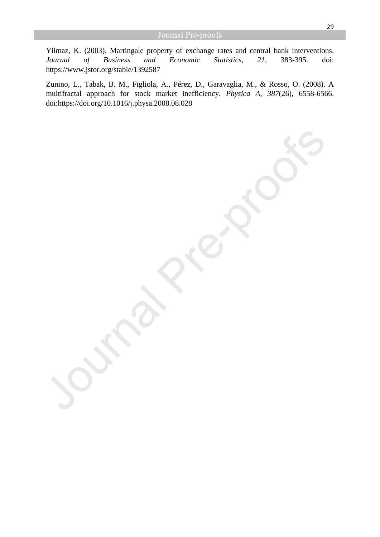Yilmaz, K. (2003). Martingale property of exchange rates and central bank interventions. *Journal of Business and Economic Statistics, 21*, 383-395. doi: https://www.jstor.org/stable/1392587

Zunino, L., Tabak, B. M., Figliola, A., Pérez, D., Garavaglia, M., & Rosso, O. (2008). A multifractal approach for stock market inefficiency. *Physica A, 387*(26), 6558-6566. doi:https://doi.org/10.1016/j.physa.2008.08.028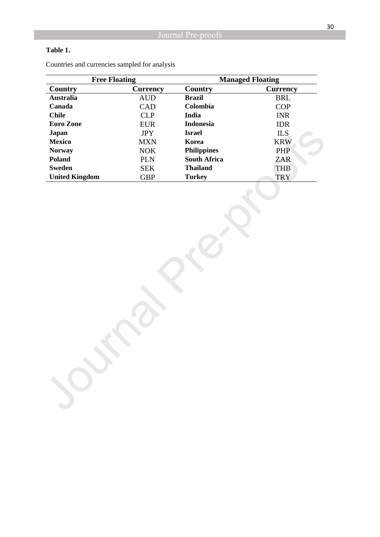## **Table 1.**

| <b>Free Floating</b>  |                 | <b>Managed Floating</b> |                 |  |  |
|-----------------------|-----------------|-------------------------|-----------------|--|--|
| Country               | <b>Currency</b> | Country                 | <b>Currency</b> |  |  |
| <b>Australia</b>      | <b>AUD</b>      | <b>Brazil</b>           | <b>BRL</b>      |  |  |
| Canada                | <b>CAD</b>      | Colombia                | <b>COP</b>      |  |  |
| <b>Chile</b>          | <b>CLP</b>      | <b>India</b>            | <b>INR</b>      |  |  |
| <b>Euro Zone</b>      | <b>EUR</b>      | <b>Indonesia</b>        | <b>IDR</b>      |  |  |
| Japan                 | <b>JPY</b>      | Israel                  | ILS.            |  |  |
| <b>Mexico</b>         | <b>MXN</b>      | Korea                   | <b>KRW</b>      |  |  |
| <b>Norway</b>         | <b>NOK</b>      | <b>Philippines</b>      | <b>PHP</b>      |  |  |
| <b>Poland</b>         | <b>PLN</b>      | <b>South Africa</b>     | ZAR             |  |  |
| Sweden                | <b>SEK</b>      | <b>Thailand</b>         | <b>THB</b>      |  |  |
| <b>United Kingdom</b> | <b>GBP</b>      | <b>Turkey</b>           | <b>TRY</b>      |  |  |

Countries and currencies sampled for analysis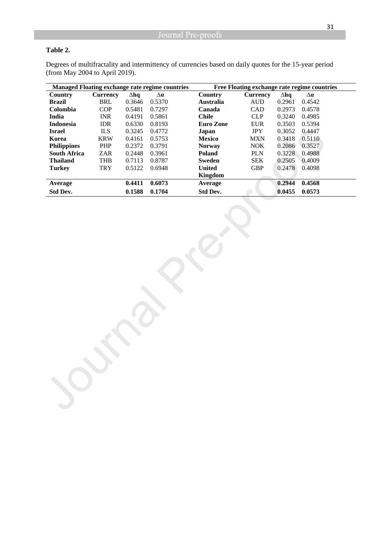## **Table 2.**

Degrees of multifractality and intermittency of currencies based on daily quotes for the 15-year period (from May 2004 to April 2019).

| <b>Managed Floating exchange rate regime countries</b> |                 |             | Free Floating exchange rate regime countries |                  |                 |             |            |
|--------------------------------------------------------|-----------------|-------------|----------------------------------------------|------------------|-----------------|-------------|------------|
| Country                                                | <b>Currency</b> | $\Delta$ hq | $\Delta a$                                   | Country          | <b>Currency</b> | $\Delta$ hq | $\Delta a$ |
| <b>Brazil</b>                                          | <b>BRL</b>      | 0.3646      | 0.5370                                       | <b>Australia</b> | <b>AUD</b>      | 0.2961      | 0.4542     |
| <b>Colombia</b>                                        | <b>COP</b>      | 0.5481      | 0.7297                                       | Canada           | <b>CAD</b>      | 0.2973      | 0.4578     |
| India                                                  | <b>INR</b>      | 0.4191      | 0.5861                                       | <b>Chile</b>     | <b>CLP</b>      | 0.3240      | 0.4985     |
| <b>Indonesia</b>                                       | <b>IDR</b>      | 0.6330      | 0.8193                                       | <b>Euro Zone</b> | <b>EUR</b>      | 0.3503      | 0.5394     |
| <b>Israel</b>                                          | <b>ILS</b>      | 0.3245      | 0.4772                                       | Japan            | <b>JPY</b>      | 0.3052      | 0.4447     |
| Korea                                                  | <b>KRW</b>      | 0.4161      | 0.5753                                       | <b>Mexico</b>    | <b>MXN</b>      | 0.3418      | 0.5110     |
| <b>Philippines</b>                                     | <b>PHP</b>      | 0.2372      | 0.3791                                       | <b>Norway</b>    | <b>NOK</b>      | 0.2086      | 0.3527     |
| <b>South Africa</b>                                    | ZAR             | 0.2448      | 0.3961                                       | <b>Poland</b>    | <b>PLN</b>      | 0.3228      | 0.4988     |
| <b>Thailand</b>                                        | <b>THB</b>      | 0.7113      | 0.8787                                       | <b>Sweden</b>    | <b>SEK</b>      | 0.2505      | 0.4009     |
| <b>Turkey</b>                                          | <b>TRY</b>      | 0.5122      | 0.6948                                       | <b>United</b>    | <b>GBP</b>      | 0.2478      | 0.4098     |
|                                                        |                 |             |                                              | Kingdom          |                 |             |            |
| Average                                                |                 | 0.4411      | 0.6073                                       | Average          |                 | 0.2944      | 0.4568     |
| Std Dev.                                               |                 | 0.1588      | 0.1704                                       | <b>Std Dev.</b>  |                 | 0.0455      | 0.0573     |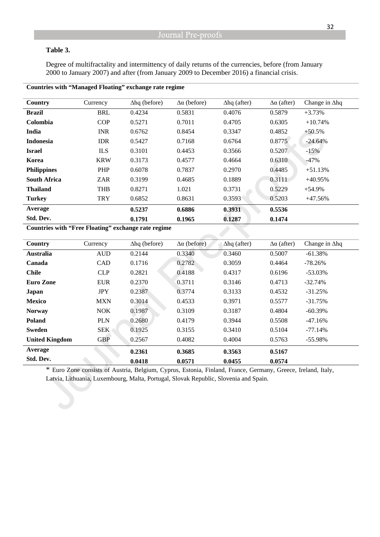#### **Table 3.**

Degree of multifractality and intermittency of daily returns of the currencies, before (from January 2000 to January 2007) and after (from January 2009 to December 2016) a financial crisis.

| Country             | Currency   | $\Delta$ hq (before) | $\Delta\alpha$ (before) | $\Delta$ hq (after) | $\Delta\alpha$ (after) | Change in $\Delta$ hq |
|---------------------|------------|----------------------|-------------------------|---------------------|------------------------|-----------------------|
| <b>Brazil</b>       | <b>BRL</b> | 0.4234               | 0.5831                  | 0.4076              | 0.5879                 | $+3.73%$              |
| Colombia            | <b>COP</b> | 0.5271               | 0.7011                  | 0.4705              | 0.6305                 | $+10.74%$             |
| India               | <b>INR</b> | 0.6762               | 0.8454                  | 0.3347              | 0.4852                 | $+50.5%$              |
| <b>Indonesia</b>    | <b>IDR</b> | 0.5427               | 0.7168                  | 0.6764              | 0.8775                 | $-24.64%$             |
| <b>Israel</b>       | <b>ILS</b> | 0.3101               | 0.4453                  | 0.3566              | 0.5207                 | $-15%$                |
| Korea               | <b>KRW</b> | 0.3173               | 0.4577                  | 0.4664              | 0.6310                 | $-47%$                |
| <b>Philippines</b>  | PHP        | 0.6078               | 0.7837                  | 0.2970              | 0.4485                 | $+51.13%$             |
| <b>South Africa</b> | <b>ZAR</b> | 0.3199               | 0.4685                  | 0.1889              | 0.3111                 | $+40.95%$             |
| <b>Thailand</b>     | <b>THB</b> | 0.8271               | 1.021                   | 0.3731              | 0.5229                 | $+54.9%$              |
| <b>Turkey</b>       | <b>TRY</b> | 0.6852               | 0.8631                  | 0.3593              | 0.5203                 | $+47.56%$             |
| Average             |            | 0.5237               | 0.6886                  | 0.3931              | 0.5536                 |                       |
| Std. Dev.           |            | 0.1791               | 0.1965                  | 0.1287              | 0.1474                 |                       |

#### **Countries with "Managed Floating" exchange rate regime**

**Countries with "Free Floating" exchange rate regime** 

| Country               | Currency   | $\Delta$ hq (before) | $\Delta\alpha$ (before) | $\Delta$ hq (after) | $\Delta\alpha$ (after) | Change in $\Delta$ hq |
|-----------------------|------------|----------------------|-------------------------|---------------------|------------------------|-----------------------|
| <b>Australia</b>      | <b>AUD</b> | 0.2144               | 0.3340                  | 0.3460              | 0.5007                 | $-61.38%$             |
| Canada                | CAD        | 0.1716               | 0.2782                  | 0.3059              | 0.4464                 | $-78.26%$             |
| <b>Chile</b>          | <b>CLP</b> | 0.2821               | 0.4188                  | 0.4317              | 0.6196                 | $-53.03\%$            |
| <b>Euro Zone</b>      | <b>EUR</b> | 0.2370               | 0.3711                  | 0.3146              | 0.4713                 | $-32.74%$             |
| <b>Japan</b>          | <b>JPY</b> | 0.2387               | 0.3774                  | 0.3133              | 0.4532                 | $-31.25%$             |
| <b>Mexico</b>         | <b>MXN</b> | 0.3014               | 0.4533                  | 0.3971              | 0.5577                 | $-31.75%$             |
| <b>Norway</b>         | <b>NOK</b> | 0.1987               | 0.3109                  | 0.3187              | 0.4804                 | $-60.39\%$            |
| <b>Poland</b>         | <b>PLN</b> | 0.2680               | 0.4179                  | 0.3944              | 0.5508                 | $-47.16%$             |
| <b>Sweden</b>         | <b>SEK</b> | 0.1925               | 0.3155                  | 0.3410              | 0.5104                 | $-77.14%$             |
| <b>United Kingdom</b> | <b>GBP</b> | 0.2567               | 0.4082                  | 0.4004              | 0.5763                 | $-55.98\%$            |
| Average               |            | 0.2361               | 0.3685                  | 0.3563              | 0.5167                 |                       |
| Std. Dev.             |            | 0.0418               | 0.0571                  | 0.0455              | 0.0574                 |                       |

\* Euro Zone consists of Austria, Belgium, Cyprus, Estonia, Finland, France, Germany, Greece, Ireland, Italy, Latvia, Lithuania, Luxembourg, Malta, Portugal, Slovak Republic, Slovenia and Spain.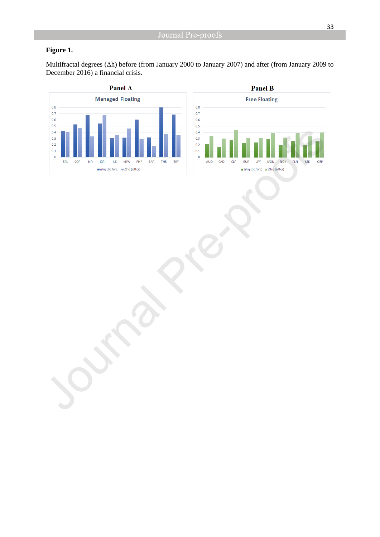## **Figure 1.**

Multifractal degrees (Δh) before (from January 2000 to January 2007) and after (from January 2009 to December 2016) a financial crisis.



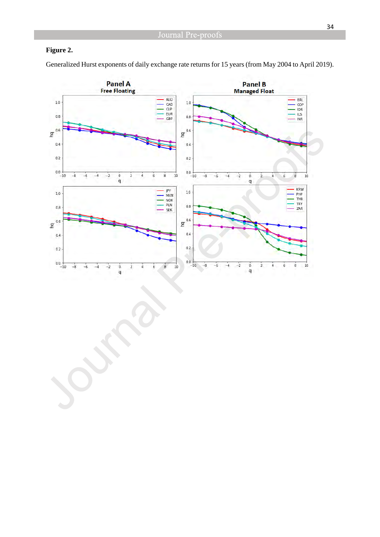## **Figure 2.**

Generalized Hurst exponents of daily exchange rate returns for 15 years (from May 2004 to April 2019).

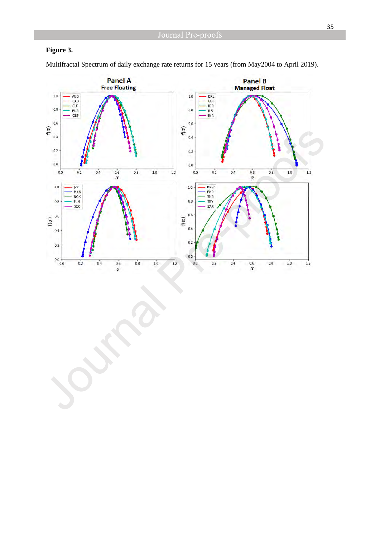## **Figure 3.**

Multifractal Spectrum of daily exchange rate returns for 15 years (from May2004 to April 2019).

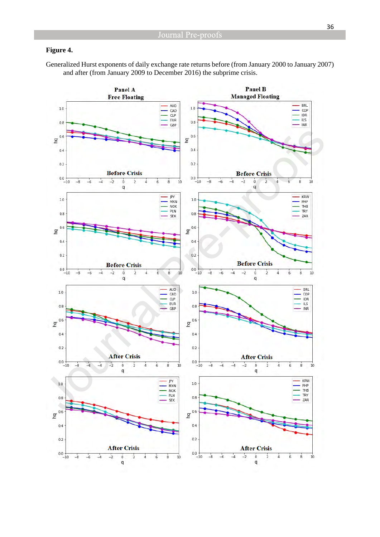#### **Figure 4.**

Generalized Hurst exponents of daily exchange rate returns before (from January 2000 to January 2007) and after (from January 2009 to December 2016) the subprime crisis.

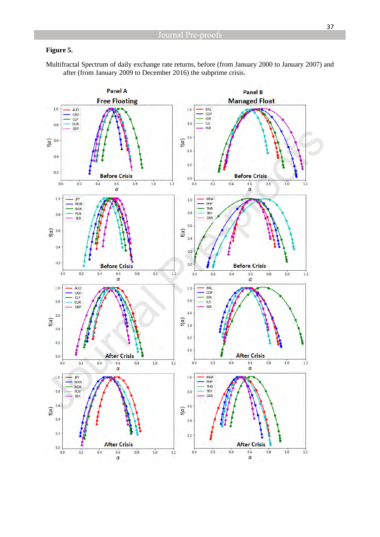#### **Figure 5.**

Multifractal Spectrum of daily exchange rate returns, before (from January 2000 to January 2007) and after (from January 2009 to December 2016) the subprime crisis.